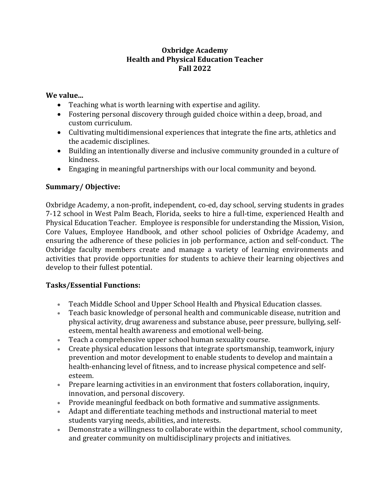#### **Oxbridge Academy Health and Physical Education Teacher Fall 2022**

#### **We value...**

- Teaching what is worth learning with expertise and agility.
- Fostering personal discovery through guided choice within a deep, broad, and custom curriculum.
- Cultivating multidimensional experiences that integrate the fine arts, athletics and the academic disciplines.
- Building an intentionally diverse and inclusive community grounded in a culture of kindness.
- Engaging in meaningful partnerships with our local community and beyond.

# **Summary/ Objective:**

Oxbridge Academy, a non-profit, independent, co-ed, day school, serving students in grades 7-12 school in West Palm Beach, Florida, seeks to hire a full-time, experienced Health and Physical Education Teacher. Employee is responsible for understanding the Mission, Vision, Core Values, Employee Handbook, and other school policies of Oxbridge Academy, and ensuring the adherence of these policies in job performance, action and self-conduct. The Oxbridge faculty members create and manage a variety of learning environments and activities that provide opportunities for students to achieve their learning objectives and develop to their fullest potential.

### **Tasks/Essential Functions:**

- Teach Middle School and Upper School Health and Physical Education classes.
- Teach basic knowledge of personal health and communicable disease, nutrition and physical activity, drug awareness and substance abuse, peer pressure, bullying, selfesteem, mental health awareness and emotional well-being.
- Teach a comprehensive upper school human sexuality course.
- Create physical education lessons that integrate sportsmanship, teamwork, injury prevention and motor development to enable students to develop and maintain a health-enhancing level of fitness, and to increase physical competence and selfesteem.
- Prepare learning activities in an environment that fosters collaboration, inquiry, innovation, and personal discovery.
- Provide meaningful feedback on both formative and summative assignments.
- Adapt and differentiate teaching methods and instructional material to meet students varying needs, abilities, and interests.
- Demonstrate a willingness to collaborate within the department, school community, and greater community on multidisciplinary projects and initiatives.